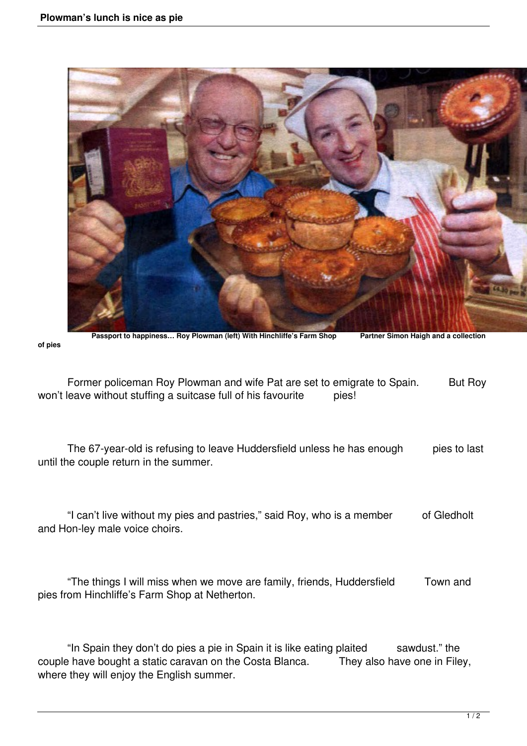**of pies** 



Passport to happiness... Roy Plowman (left) With Hinchliffe's Farm Shop Partner Simon Haigh and a collection

| Former policeman Roy Plowman and wife Pat are set to emigrate to Spain. |       | But Roy |
|-------------------------------------------------------------------------|-------|---------|
| won't leave without stuffing a suitcase full of his favourite           | pies! |         |

 The 67-year-old is refusing to leave Huddersfield unless he has enough pies to last until the couple return in the summer.

 "I can't live without my pies and pastries," said Roy, who is a member of Gledholt and Hon-ley male voice choirs.

 "The things I will miss when we move are family, friends, Huddersfield Town and pies from Hinchliffe's Farm Shop at Netherton.

 "In Spain they don't do pies a pie in Spain it is like eating plaited sawdust." the couple have bought a static caravan on the Costa Blanca. They also have one in Filey, where they will enjoy the English summer.